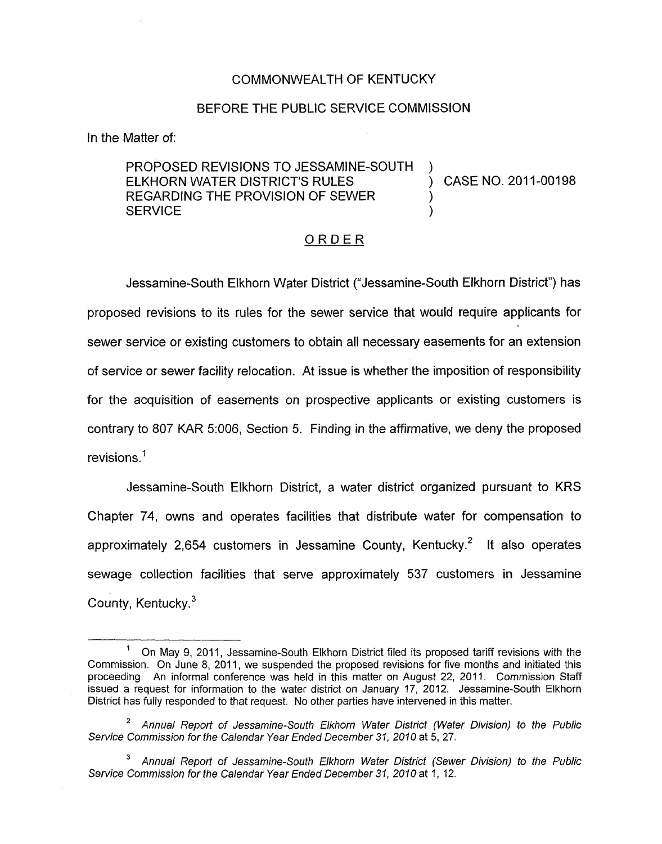## COMMONWEALTH OF KENTUCKY

## BEFORE THE PUBLIC SERVICE COMMISSION

In the Matter of:

PROPOSED REVISIONS TO JESSAMINE-SOUTH ELKHORN WATER DISTRICT'S RULES  $\overrightarrow{O}$  CASE NO. 2011-00198 REGARDING THE PROVISION OF SEWER **SERVICE** 

## ORDER

Jessamine-South Elkhorn Water District ("Jessamine-South Elkhorn District") has proposed revisions to its rules for the sewer service that would require applicants for sewer service or existing customers to obtain all necessary easements for an extension of service or sewer facility relocation. At issue is whether the imposition of responsibility for the acquisition of easements on prospective applicants or existing customers is contrary to 807 KAR 5:006, Section 5. Finding in the affirmative, we deny the proposed revisions.'

Jessamine-South Elkhorn District, a water district organized pursuant to KRS Chapter 74, owns and operates facilities that distribute water for compensation to approximately 2,654 customers in Jessamine County, Kentucky.<sup>2</sup> It also operates sewage collection facilities that serve approximately 537 customers in Jessamine County, Kentucky.<sup>3</sup>

- *Service Commission for the Calendar Year Ended December 37, 2070* at 5,27. *Annual Report of Jessamine-South Elkhorn Wafer District (Water Division) to the Public*  **2**
- <sup>3</sup> Annual Report of Jessamine-South Elkhorn Water District (Sewer Division) to the Public Service Commission for the Calendar Year Ended December 31, 2010 at 1, 12.

On May 9, 2011, Jessamine-South Elkhorn District filed its proposed tariff revisions with the Commission. On June 8, 2011, we suspended the proposed revisions for five months and initiated this proceeding. An informal conference was held in this matter on August 22, 2011. Commission Staff issued a request for information to the water district **on** January 17, 2012. Jessamine-South Elkhorn District has fully responded to that request. No other parties have intervened in this matter. **1**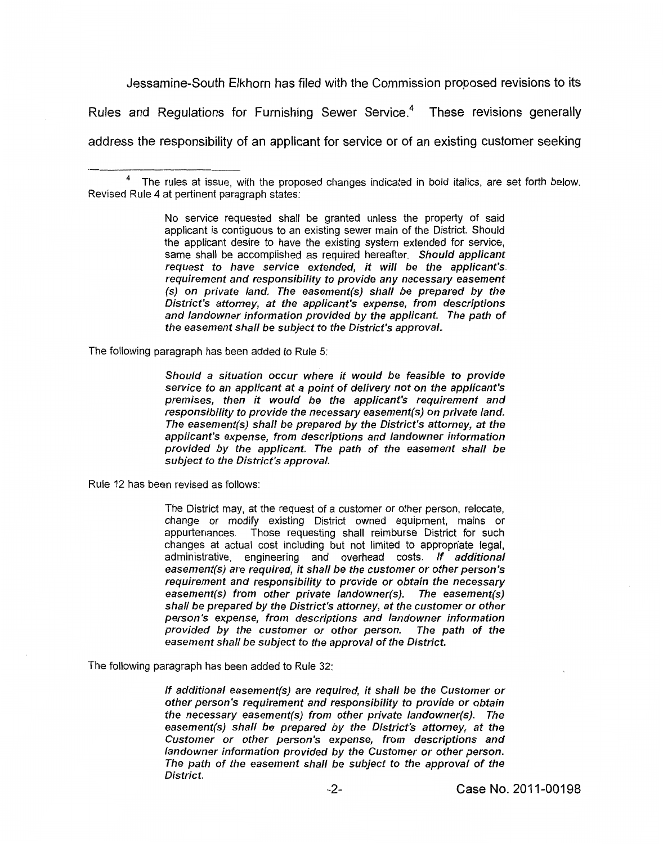Jessamine-South Elkhorn has filed with the Commission proposed revisions to its

Rules and Regulations for Furnishing Sewer Service.<sup>4</sup> These revisions generally

address the responsibility of an applicant for service or of an existing customer seeking

**No** service requested shall be granted unless the property of said applicant is contiguous to an existing sewer main of the District. Should the applicant desire to have the existing system extended for service, same shall be accomplished as required hereafter. *Should applicant request to have sewice extended, it will be the applicant's. requirement and responsibility to provide any necessary easement (s) on private land. The easement(s) shall be prepared by the District's attorney, at the applicant's expense, from descriptions and landowner information provided by the applicant. The path of the easement shall be subject to the District's approval.* 

The following paragraph has been added to Rule **5:** 

*Should a situation occur where it would be feasible to provide service to an applicant at a point of delivery not on the applicant's premises, then it would be the applicant's requirement and responsibility to provide the necessary easement(s) on private land. The easement(s) shall be prepared by the District's attorney, at the applicant's expense, from descriptions and landowner information provided by the applicant. The path of the easement shall be*  subject to the District's approval.

Rule 12 has been revised as follows:

The District may, at the request of a customer or other person, relocate, change or modify existing District owned equipment, mains or appurtenances. Those requesting shall reimburse District for such changes at actual cost including but not limited to appropriate legal, administrative, engineering and overhead costs. *If additional easement(s) are required, it shall be the customer or other person's requirement and responsibility to provide or obtain the necessary easement(s) from other private landowner(s). The easement(s) shall be prepared by the District's attorney, at the customer or other person's expense, from descriptions and landowner information provided by the customer or other person. The path of the easement shall be subject to the approval of the District.* 

The following paragraph has been added to Rule 32:

*If additional easement(s) are required, it shall be the Customer or other person's requirement and responsibility to provide or obtain the necessary easement(s) from other private landowner(s). The*  easement(s) shall be prepared by the District's attorney, at the *Customer or other person's expense, from descriptions and landowner information provided by the Customer or other person. The path of the easement shall be subject to the approval of the District.* 

The rules at issue, with the proposed changes indicated in bold italics, are set forth below. **<sup>4</sup>** Revised Rule **4** at pertinent paragraph states: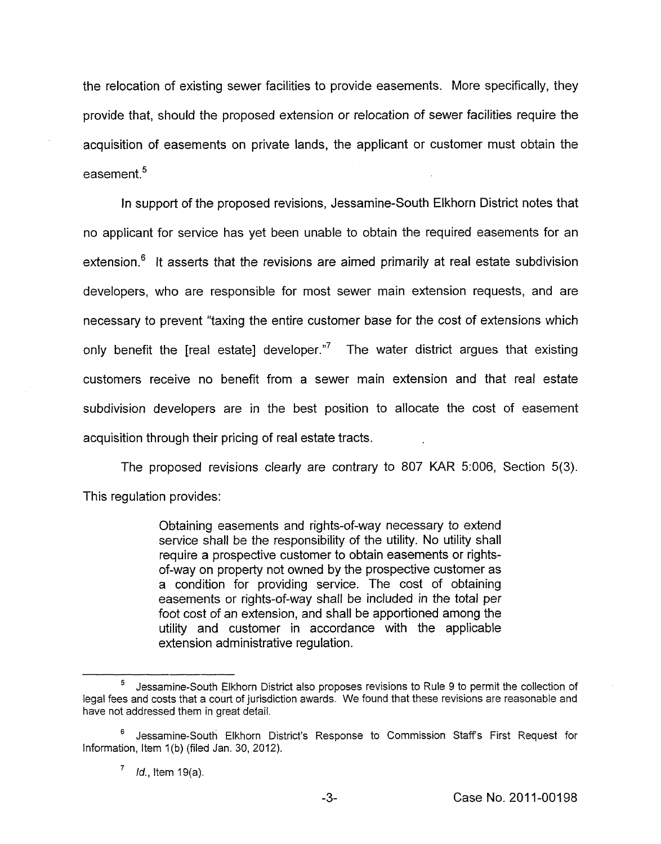the relocation of existing sewer facilities to provide easements. More specifically, they provide that, should the proposed extension or relocation of sewer facilities require the acquisition of easements on private lands, the applicant or customer must obtain the easement<sup>5</sup>

In support of the proposed revisions, Jessamine-South Elkhorn District notes that no applicant for service has yet been unable to obtain the required easements for an extension. $<sup>6</sup>$  It asserts that the revisions are aimed primarily at real estate subdivision</sup> developers, who are responsible for most sewer main extension requests, and are necessary to prevent "taxing the entire customer base for the cost of extensions which only benefit the [real estate] developer. $\frac{1}{7}$  The water district argues that existing customers receive no benefit from a sewer main extension and that real estate subdivision developers are in the best position to allocate the cost of easement acquisition through their pricing of real estate tracts.

The proposed revisions clearly are contrary to 807 KAR 5:006, Section 5(3). This regulation provides:

> Obtaining easements and rights-of-way necessary to extend service shall be the responsibility of the utility. No utility shall require a prospective customer to obtain easements or rightsof-way on property not owned by the prospective customer as a condition for providing service. The cost of obtaining easements or rights-of-way shall be included in the total per foot cost of an extension, and shall be apportioned among the utility and customer in accordance with the applicable extension administrative regulation. condition for p<br>asements or right<br>of cost of an exte<br>lility and custom<br>dension administr<br>mine-South Elkhorn D

Jessamine-South Elkhorn District also proposes revisions to Rule 9 to permit the collection of legal fees and costs that a court of jurisdiction awards. We found that these revisions are reasonable and have not addressed them in great detail.

Jessamine-South Elkhorn District's Response to Commission Staffs First Request for Information, Item 1(b) (filed Jan. 30, 2012).

<sup>&#</sup>x27; *M.,* Item 19(a).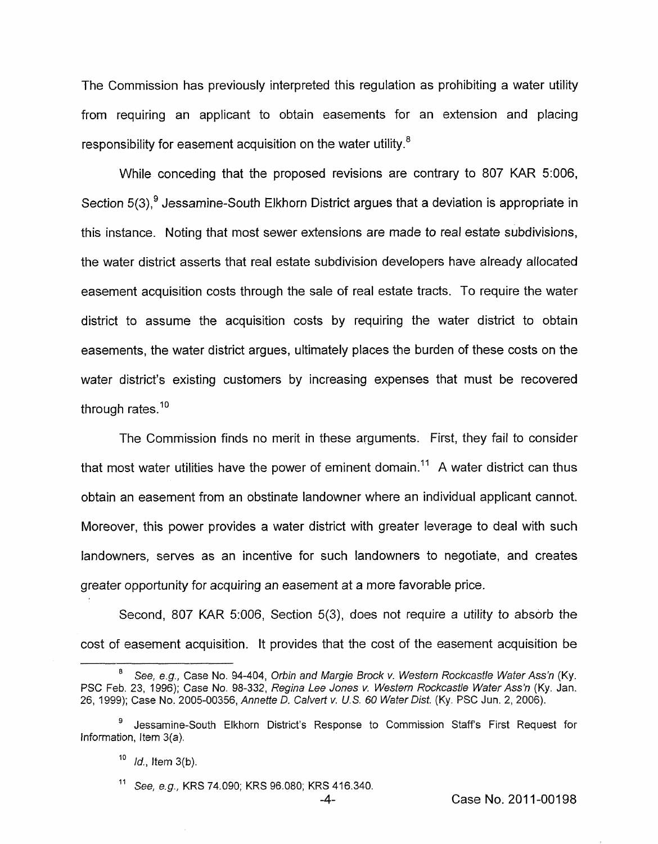The Commission has previously interpreted this regulation as prohibiting a water utility from requiring an applicant to obtain easements for an extension and placing responsibility for easement acquisition on the water utility.<sup>8</sup>

While conceding that the proposed revisions are contrary to 807 KAR 5:006, Section 5(3),<sup>9</sup> Jessamine-South Elkhorn District argues that a deviation is appropriate in this instance. Noting that most sewer extensions are made to real estate subdivisions, the water district asserts that real estate subdivision developers have already allocated easement acquisition costs through the sale of real estate tracts. To require the water district to assume the acquisition costs by requiring the water district to obtain easements, the water district argues, ultimately places the burden of these costs on the water district's existing customers by increasing expenses that must be recovered through rates.<sup>10</sup>

The Commission finds no merit in these arguments. First, they fail to consider that most water utilities have the power of eminent domain.<sup>11</sup> A water district can thus obtain an easement from an obstinate landowner where an individual applicant cannot. Moreover, this power provides a water district with greater leverage to deal with such landowners, serves as an incentive for such landowners to negotiate, and creates greater opportunity for acquiring an easement at a more favorable price.

Second, 807 KAR 5:006, Section 5(3), does not require a utility to absorb the cost of easement acquisition. It provides that the cost of the easement acquisition be

*See, e.g.,* Case No. 94-404, *Orbin and Margie Brock v. Western Rockcastle Water Ass'n* (Ky. PSC Feb. 23, 1996); Case No. 98-332, *Regina Lee Jones v. Western Rockcastle Water Ass'n* (Ky. Jan. *26,* 1999); Case No. 2005-00356, *Annette D. Calverf v. U.S. 60 Water Disf.* (Ky. PSC Jun. 2, 2006). **8** 

Jessamine-South Elkhorn District's Response *to* Commission Staffs First Request for **<sup>9</sup>** Information, *Item* 3(a).

<sup>&</sup>lt;sup>10</sup> *Id.*, Item 3(b).

*See, e.g.,* KRS 74.090; KRS 96.080; KRS 416.340.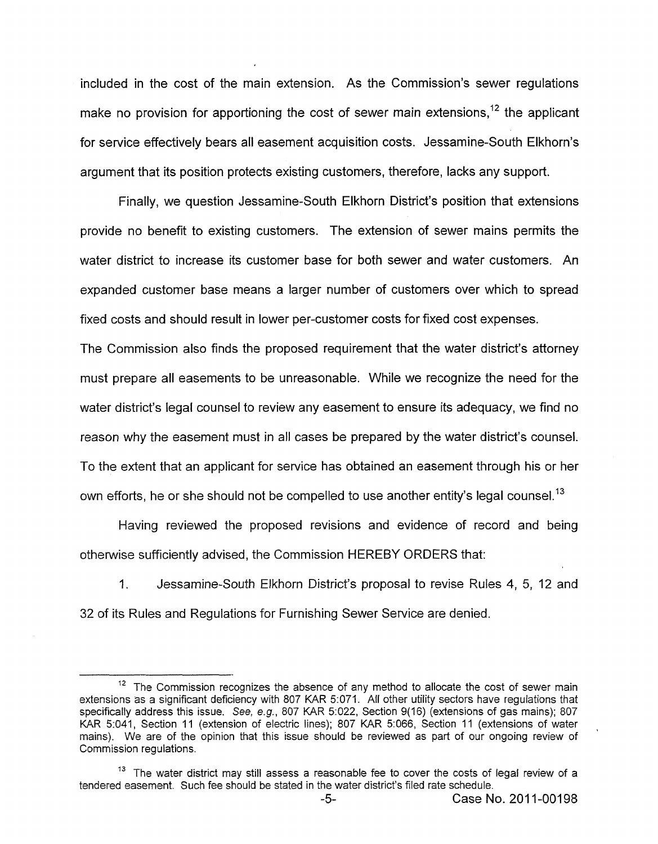included in the cost of the main extension. As the Commission's sewer regulations make no provision for apportioning the cost of sewer main extensions,  $12$  the applicant for service effectively bears all easement acquisition costs. Jessamine-South Elkhorn's argument that its position protects existing customers, therefore, lacks any support.

Finally, we question Jessamine-South Elkhorn District's position that extensions provide no benefit to existing customers. The extension of sewer mains permits the water district to increase its customer base for both sewer and water customers. An expanded customer base means a larger number of customers over which to spread fixed costs and should result in lower per-customer costs for fixed cost expenses.

The Commission also finds the proposed requirement that the water district's attorney must prepare all easements to be unreasonable. While we recognize the need for the water district's legal counsel to review any easement to ensure its adequacy, we find no reason why the easement must in all cases be prepared by the water district's counsel. To the extent that an applicant for service has obtained an easement through his or her own efforts, he or she should not be compelled to use another entity's legal counsel.<sup>13</sup>

Having reviewed the proposed revisions and evidence of record and being otherwise sufficiently advised, the Commission HEREBY ORDERS that:

1. Jessamine-South Elkhorn District's proposal to revise Rules **4,** 5, 12 and 32 of its Rules and Regulations for Furnishing Sewer Service are denied.

 $12$  The Commission recognizes the absence of any method to allocate the cost of sewer main extensions as a significant deficiency with 807 KAR 5:071. **All** other utility sectors have regulations that specifically address this issue. See, *e.g.,* 807 KAR 5:022, Section 9(16) (extensions of gas mains); 807 KAR 5:041, Section 11 (extension of electric lines); 807 KAR 5:066, Section 11 (extensions of water mains). We are of the opinion that this issue should be reviewed as part of our ongoing review of Commission regulations.

<sup>&</sup>lt;sup>13</sup> The water district may still assess a reasonable fee to cover the costs of legal review of a tendered easement. Such fee should be stated in the water district's filed rate schedule.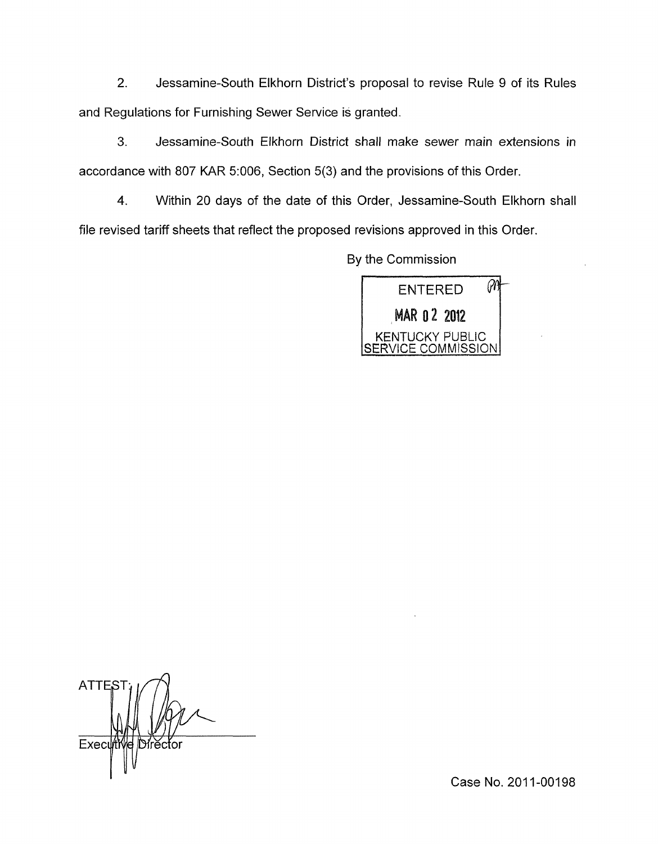2. Jessamine-South Elkhorn District's proposal to revise Rule 9 of its Rules and Regulations for Furnishing Sewer Service is granted.

3. Jessamine-South Elkhorn District shall make sewer main extensions in accordance with 807 KAR 5:006, Section **5(3)** and the provisions of this Order.

**4.** Within 20 days of the date of this Order, Jessamine-South Elkhorn shall file revised tariff sheets that reflect the proposed revisions approved in this Order.

By the Commission



**ATTE** Execu Dírĕctor

Case No. 2011-00198